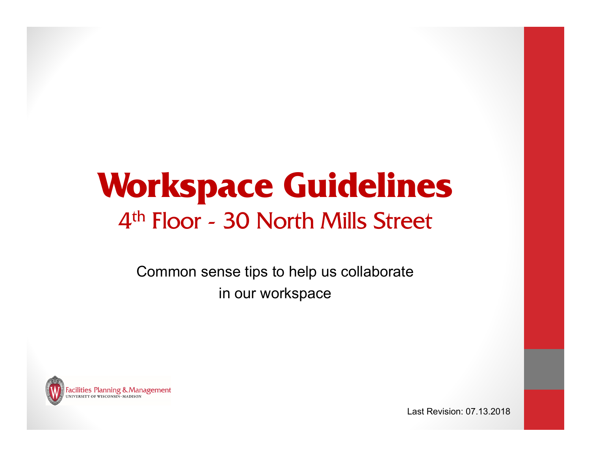# **Workspace Guidelines** 4th Floor - 30 North Mills Street

Common sense tips to help us collaborate in our workspace



Last Revision: 07.13.2018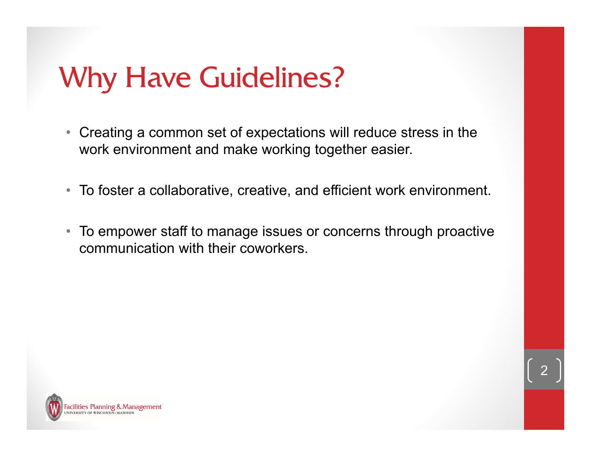# Why Have Guidelines?

- Creating a common set of expectations will reduce stress in the work environment and make working together easier.
- To foster a collaborative, creative, and efficient work environment.
- To empower staff to manage issues or concerns through proactive communication with their coworkers.

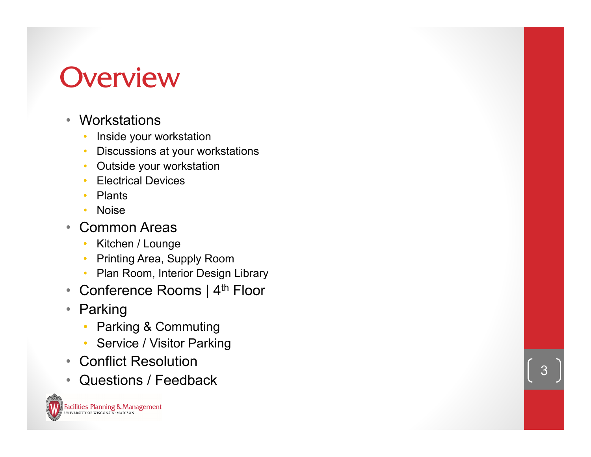# **Overview**

- Workstations
	- •Inside your workstation
	- •Discussions at your workstations
	- •Outside your workstation
	- •Electrical Devices
	- •Plants
	- •Noise
- $\bullet$  Common Areas
	- •Kitchen / Lounge
	- •Printing Area, Supply Room
	- Plan Room, Interior Design Library
- $\bullet$  Conference Rooms | 4<sup>th</sup> Floor
- $\bullet$  Parking
	- •Parking & Commuting
	- $\bullet$ Service / Visitor Parking
- Conflict Resolution
- Questions / Feedback

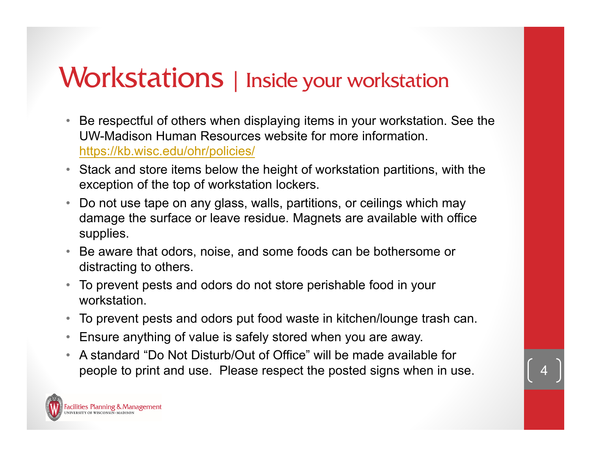#### Workstations | Inside your workstation

- $\bullet$  Be respectful of others when displaying items in your workstation. See the UW-Madison Human Resources website for more information. https://kb.wisc.edu/ohr/policies/
- Stack and store items below the height of workstation partitions, with the exception of the top of workstation lockers.
- Do not use tape on any glass, walls, partitions, or ceilings which may damage the surface or leave residue. Magnets are available with office supplies.
- Be aware that odors, noise, and some foods can be bothersome or distracting to others.
- To prevent pests and odors do not store perishable food in your workstation.
- $\bullet$ To prevent pests and odors put food waste in kitchen/lounge trash can.
- $\bullet$ Ensure anything of value is safely stored when you are away.
- $\bullet$  A standard "Do Not Disturb/Out of Office" will be made available for people to print and use. Please respect the posted signs when in use. 4

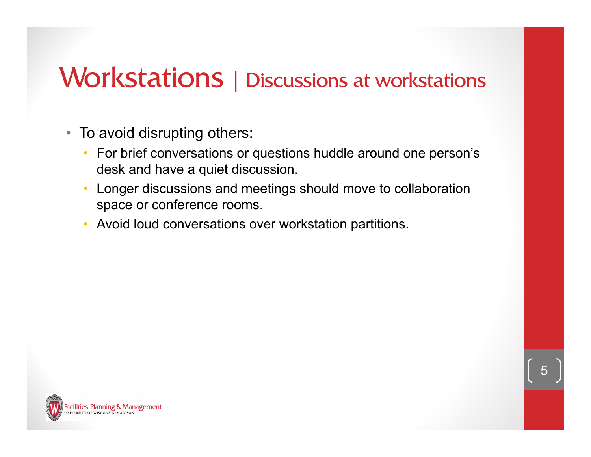#### Workstations | Discussions at workstations

- To avoid disrupting others:
	- For brief conversations or questions huddle around one person's desk and have a quiet discussion.
	- • Longer discussions and meetings should move to collaboration space or conference rooms.
	- •Avoid loud conversations over workstation partitions.

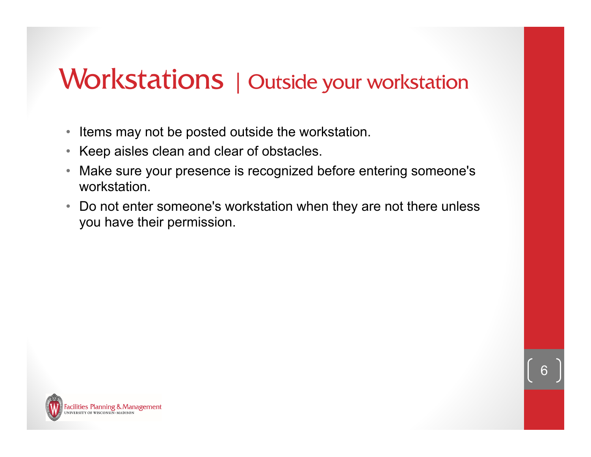#### Workstations | Outside your workstation

- Items may not be posted outside the workstation.
- •Keep aisles clean and clear of obstacles.
- $\bullet$  Make sure your presence is recognized before entering someone's workstation.
- $\bullet$  Do not enter someone's workstation when they are not there unless you have their permission.

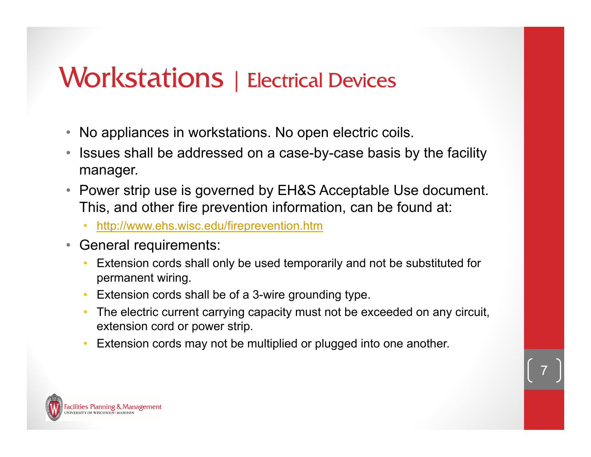#### Workstations | Electrical Devices

- No appliances in workstations. No open electric coils.
- $\bullet$  Issues shall be addressed on a case-by-case basis by the facility manager.
- Power strip use is governed by EH&S Acceptable Use document. This, and other fire prevention information, can be found at:
	- http://www.ehs.wisc.edu/fireprevention.htm
- $\bullet$  General requirements:
	- Extension cords shall only be used temporarily and not be substituted for permanent wiring.
	- •Extension cords shall be of a 3-wire grounding type.
	- • The electric current carrying capacity must not be exceeded on any circuit, extension cord or power strip.
	- •Extension cords may not be multiplied or plugged into one another.

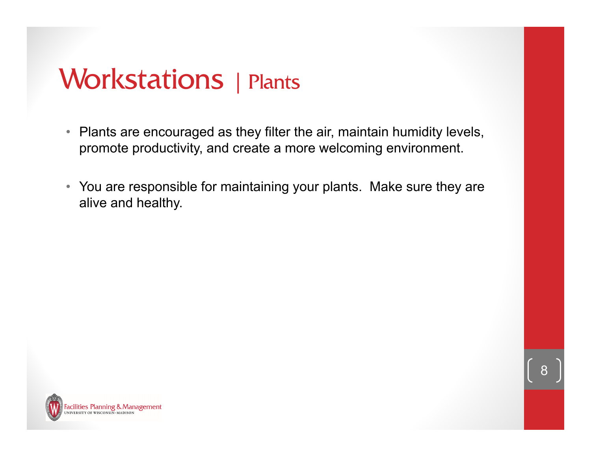#### Workstations | Plants

- Plants are encouraged as they filter the air, maintain humidity levels, promote productivity, and create a more welcoming environment.
- You are responsible for maintaining your plants. Make sure they are alive and healthy.

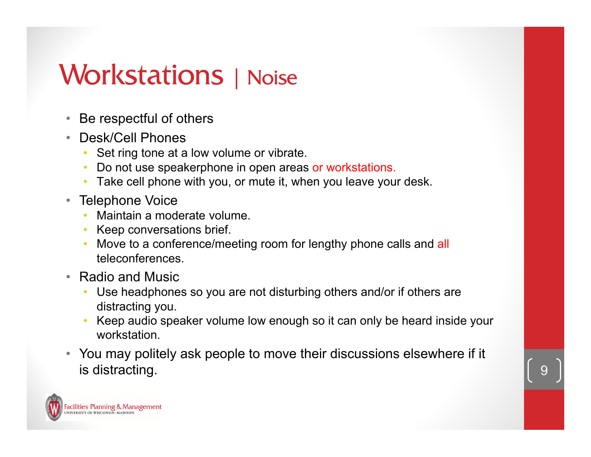## Workstations | Noise

- $\bullet$ Be respectful of others
- $\bullet$  Desk/Cell Phones
	- Set ring tone at a low volume or vibrate.
	- •Do not use speakerphone in open areas or workstations.
	- Take cell phone with you, or mute it, when you leave your desk.
- Telephone Voice
	- Maintain a moderate volume.
	- Keep conversations brief.
	- •Move to a conference/meeting room for lengthy phone calls and all teleconferences.
- Radio and Music
	- Use headphones so you are not disturbing others and/or if others are distracting you.
	- • Keep audio speaker volume low enough so it can only be heard inside your workstation.
- You may politely ask people to move their discussions elsewhere if it is distracting.

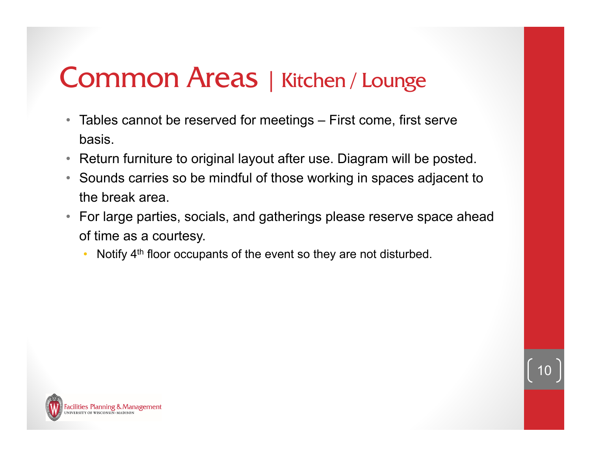- Tables cannot be reserved for meetings First come, first serve basis.
- Return furniture to original layout after use. Diagram will be posted.
- Sounds carries so be mindful of those working in spaces adjacent to the break area.
- For large parties, socials, and gatherings please reserve space ahead of time as a courtesy.
	- •Notify 4<sup>th</sup> floor occupants of the event so they are not disturbed.

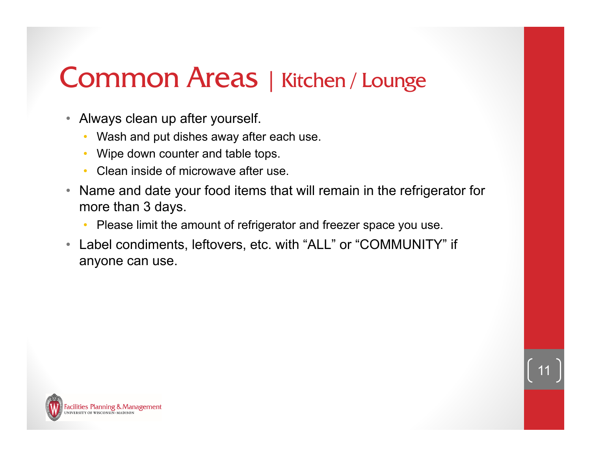- Always clean up after yourself.
	- •Wash and put dishes away after each use.
	- •Wipe down counter and table tops.
	- Clean inside of microwave after use.
- $\bullet$  Name and date your food items that will remain in the refrigerator for more than 3 days.
	- Please limit the amount of refrigerator and freezer space you use.
- Label condiments, leftovers, etc. with "ALL" or "COMMUNITY" if anyone can use.

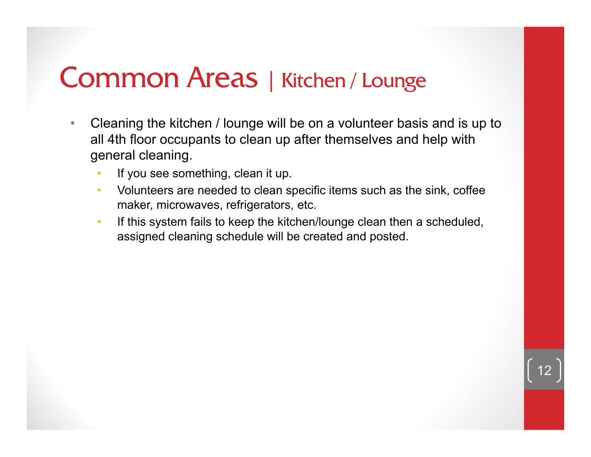- $\bullet$  Cleaning the kitchen / lounge will be on a volunteer basis and is up to all 4th floor occupants to clean up after themselves and help with general cleaning.
	- If you see something, clean it up.
	- Volunteers are needed to clean specific items such as the sink, coffee maker, microwaves, refrigerators, etc.
	- • If this system fails to keep the kitchen/lounge clean then a scheduled, assigned cleaning schedule will be created and posted.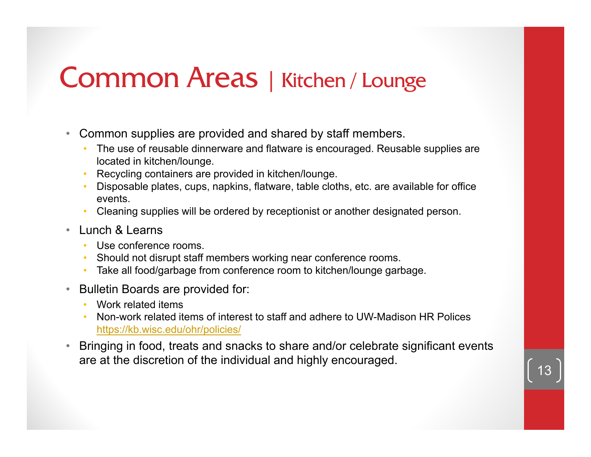- • Common supplies are provided and shared by staff members.
	- • The use of reusable dinnerware and flatware is encouraged. Reusable supplies are located in kitchen/lounge.
	- •Recycling containers are provided in kitchen/lounge.
	- Disposable plates, cups, napkins, flatware, table cloths, etc. are available for office events.
	- •Cleaning supplies will be ordered by receptionist or another designated person.
- • Lunch & Learns
	- •Use conference rooms.
	- Should not disrupt staff members working near conference rooms.
	- •Take all food/garbage from conference room to kitchen/lounge garbage.
- $\bullet$  Bulletin Boards are provided for:
	- Work related items
	- • Non-work related items of interest to staff and adhere to UW-Madison HR Polices https://kb.wisc.edu/ohr/policies/
- • Bringing in food, treats and snacks to share and/or celebrate significant events are at the discretion of the individual and highly encouraged.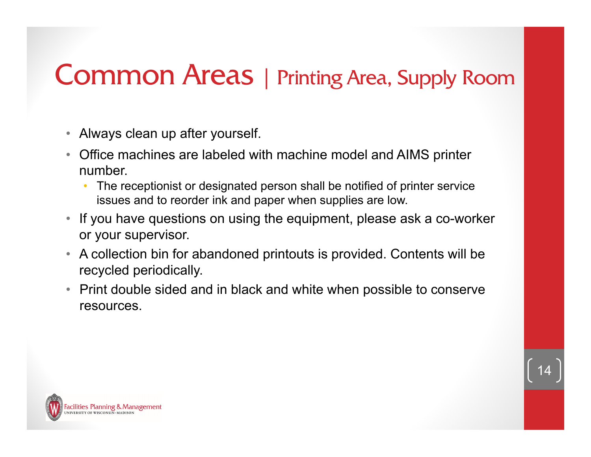#### Common Areas | Printing Area, Supply Room

- Always clean up after yourself.
- $\bullet$  Office machines are labeled with machine model and AIMS printer number.
	- • The receptionist or designated person shall be notified of printer service issues and to reorder ink and paper when supplies are low.
- If you have questions on using the equipment, please ask a co-worker or your supervisor.
- A collection bin for abandoned printouts is provided. Contents will be recycled periodically.
- Print double sided and in black and white when possible to conserve resources.

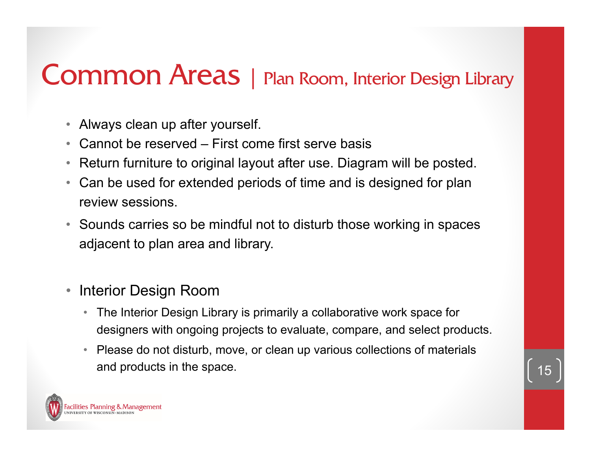## Common Areas | Plan Room, Interior Design Library

- $\bullet$ Always clean up after yourself.
- $\bullet$ Cannot be reserved – First come first serve basis
- $\bullet$ Return furniture to original layout after use. Diagram will be posted.
- • Can be used for extended periods of time and is designed for plan review sessions.
- $\bullet$  Sounds carries so be mindful not to disturb those working in spaces adjacent to plan area and library.
- $\bullet$  Interior Design Room
	- $\bullet$  The Interior Design Library is primarily a collaborative work space for designers with ongoing projects to evaluate, compare, and select products.
	- • Please do not disturb, move, or clean up various collections of materials and products in the space.

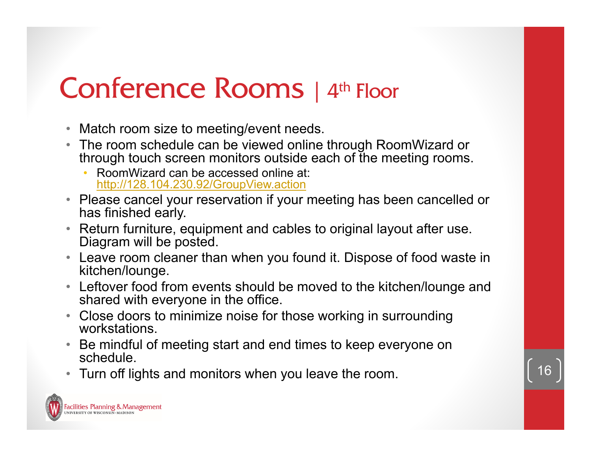# Conference Rooms | 4th Floor

- Match room size to meeting/event needs.
- The room schedule can be viewed online through RoomWizard or through touch screen monitors outside each of the meeting rooms.
	- • RoomWizard can be accessed online at: http://128.104.230.92/GroupView.action
- Please cancel your reservation if your meeting has been cancelled or has finished early.
- $\bullet$  Return furniture, equipment and cables to original layout after use. Diagram will be posted.
- Leave room cleaner than when you found it. Dispose of food waste in kitchen/lounge.
- Leftover food from events should be moved to the kitchen/lounge and shared with everyone in the office.
- Close doors to minimize noise for those working in surrounding workstations.
- Be mindful of meeting start and end times to keep everyone on schedule.
- Turn off lights and monitors when you leave the room.

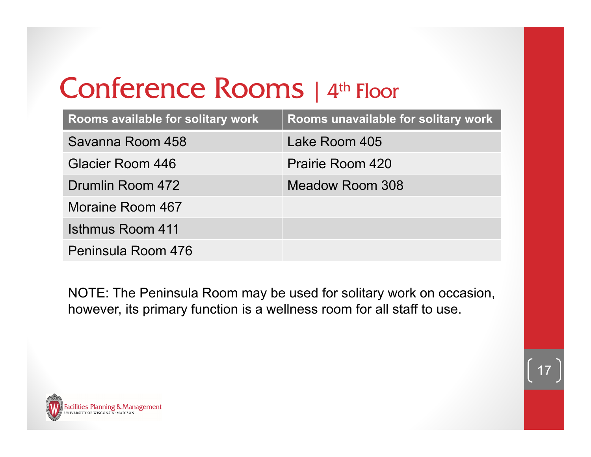# Conference Rooms | 4<sup>th</sup> Floor

| Rooms available for solitary work | Rooms unavailable for solitary work |
|-----------------------------------|-------------------------------------|
| Savanna Room 458                  | Lake Room 405                       |
| Glacier Room 446                  | Prairie Room 420                    |
| Drumlin Room 472                  | <b>Meadow Room 308</b>              |
| Moraine Room 467                  |                                     |
| Isthmus Room 411                  |                                     |
| Peninsula Room 476                |                                     |

NOTE: The Peninsula Room may be used for solitary work on occasion, however, its primary function is a wellness room for all staff to use.



17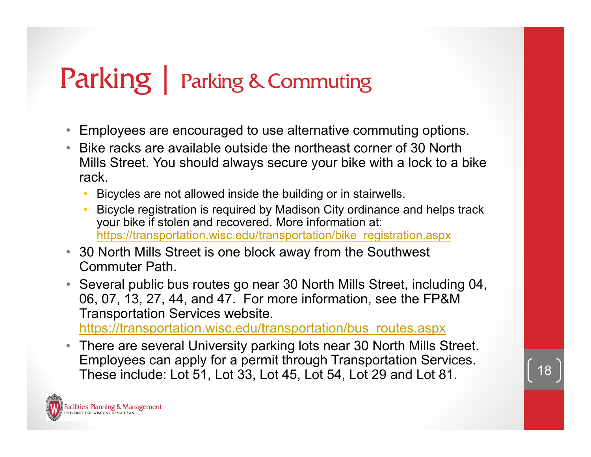# Parking | Parking & Commuting

- Employees are encouraged to use alternative commuting options.
- Bike racks are available outside the northeast corner of 30 North Mills Street. You should always secure your bike with a lock to a bike rack.
	- •Bicycles are not allowed inside the building or in stairwells.
	- Bicycle registration is required by Madison City ordinance and helps track your bike if stolen and recovered. More information at: https://transportation.wisc.edu/transportation/bike\_registration.aspx
- 30 North Mills Street is one block away from the Southwest Commuter Path.
- Several public bus routes go near 30 North Mills Street, including 04, 06, 07, 13, 27, 44, and 47. For more information, see the FP&M Transportation Services website.

https://transportation.wisc.edu/transportation/bus\_routes.aspx

• There are several University parking lots near 30 North Mills Street. Employees can apply for a permit through Transportation Services. These include: Lot 51, Lot 33, Lot 45, Lot 54, Lot 29 and Lot 81.

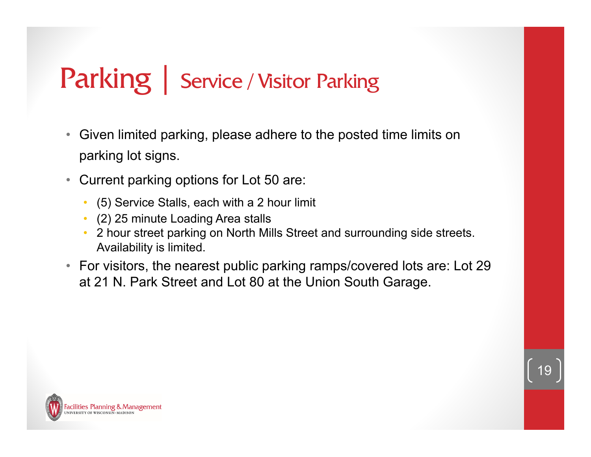## Parking | Service / Visitor Parking

- $\bullet$  Given limited parking, please adhere to the posted time limits on parking lot signs.
- • Current parking options for Lot 50 are:
	- $\bullet$ (5) Service Stalls, each with a 2 hour limit
	- (2) 25 minute Loading Area stalls
	- • 2 hour street parking on North Mills Street and surrounding side streets. Availability is limited.
- For visitors, the nearest public parking ramps/covered lots are: Lot 29 at 21 N. Park Street and Lot 80 at the Union South Garage.

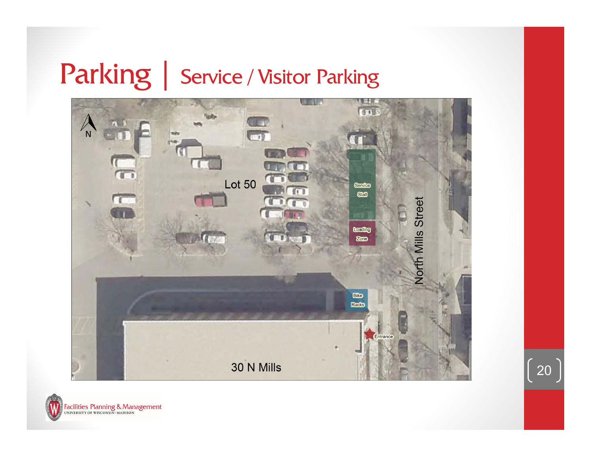## Parking | Service / Visitor Parking



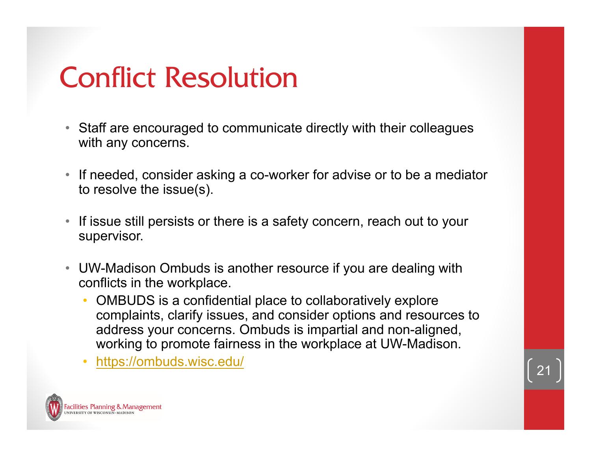# Conflict Resolution

- $\bullet$  Staff are encouraged to communicate directly with their colleagues with any concerns.
- • If needed, consider asking a co-worker for advise or to be a mediator to resolve the issue(s).
- • If issue still persists or there is a safety concern, reach out to your supervisor.
- UW-Madison Ombuds is another resource if you are dealing with conflicts in the workplace.
	- • OMBUDS is a confidential place to collaboratively explore complaints, clarify issues, and consider options and resources to address your concerns. Ombuds is impartial and non-aligned, working to promote fairness in the workplace at UW-Madison.
	- •https://ombuds.wisc.edu/

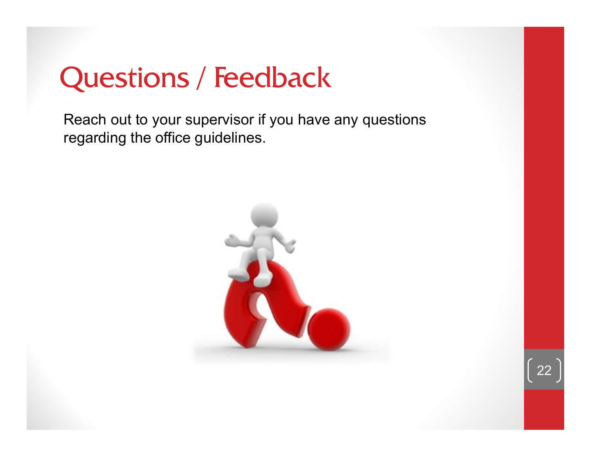# Questions / Feedback

Reach out to your supervisor if you have any questions regarding the office guidelines.



22